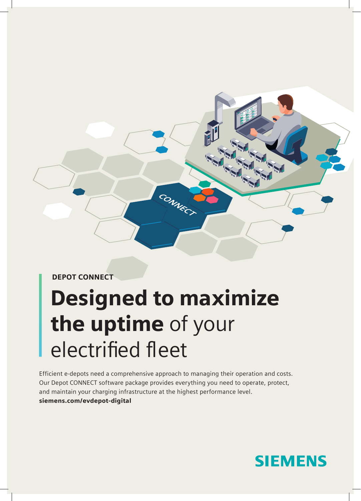

DEPOT CONNECT

# Designed to maximize the uptime of your electrified fleet

Efficient e-depots need a comprehensive approach to managing their operation and costs. Our Depot CONNECT software package provides everything you need to operate, protect, and maintain your charging infrastructure at the highest performance level. siemens.com/evdepot-digital

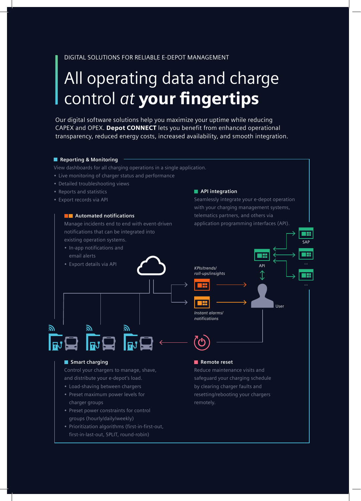#### DIGITAL SOLUTIONS FOR RELIABLE E-DEPOT MANAGEMENT

# All operating data and charge control *at* your fingertips

Our digital software solutions help you maximize your uptime while reducing CAPEX and OPEX. Depot CONNECT lets you benefit from enhanced operational transparency, reduced energy costs, increased availability, and smooth integration.

#### **Reporting & Monitoring**

View dashboards for all charging operations in a single application.

- Live monitoring of charger status and performance
- Detailed troubleshooting views
- Reports and statistics
- Export records via API

#### **Automated notifications**

Manage incidents end to end with event-driven notifications that can be integrated into existing operation systems.

- In-app notifications and
- email alerts
- Export details via API

#### $\blacksquare$  **API integration**

Seamlessly integrate your e-depot operation with your charging management systems, telematics partners, and others via application programming interfaces (API).

User

TX SAP

T٣

API



#### $\blacksquare$  Smart charging

习

Control your chargers to manage, shave, and distribute your e-depot's load.

- Load-shaving between chargers
- Preset maximum power levels for charger groups
- Preset power constraints for control groups (hourly/daily/weekly)
- Prioritization algorithms (first-in-first-out, first-in-last-out, SPLIT, round-robin)

#### **Remote reset**

Reduce maintenance visits and safeguard your charging schedule by clearing charger faults and resetting/rebooting your chargers remotely.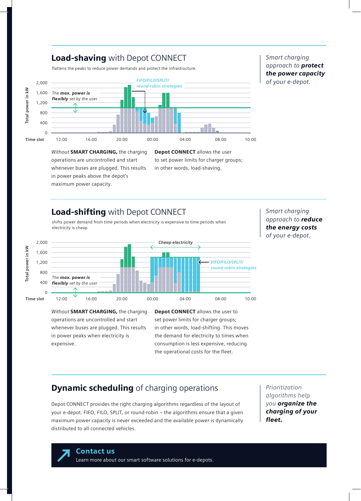### **Load-shaving** with Depot CONNECT **Subset of Smart charging** Smart charging

flattens the peaks to reduce power demands and protect the infrastructure.



### *approach to protect the power capacity of your e-depot.*

*Without* SMART CHARGING, the charging operations are uncontrolled and start whenever buses are plugged. This results in power peaks above the depot's maximum power capacity.

Depot CONNECT allows the user to set power limits for charger groups; in other words, load-shaving.

# **Load-shifting** with Depot CONNECT **Signal Smart charging** Smart charging

shifts power demand from time periods when electricity is expensive to time periods when electricity is cheap



# *approach to reduce the energy costs of your e-depot.*

*Without* SMART CHARGING, the charging operations are uncontrolled and start whenever buses are plugged. This results in power peaks when electricity is expensive.

Depot CONNECT allows the user to set power limits for charger groups; in other words, load-shifting. This moves the demand for electricity to times when consumption is less expensive, reducing the operational costs for the fleet.

## **Dynamic scheduling** of charging operations **Prioritization**

Depot CONNECT provides the right charging algorithms regardless of the layout of your e-depot. FIFO, FILO, SPLIT, or round-robin – the algorithms ensure that a given maximum power capacity is never exceeded and the available power is dynamically distributed to all connected vehicles.

*algorithms help you organize the charging of your fleet.*

#### Contact us

Learn more about our smart software solutions for e-depots.